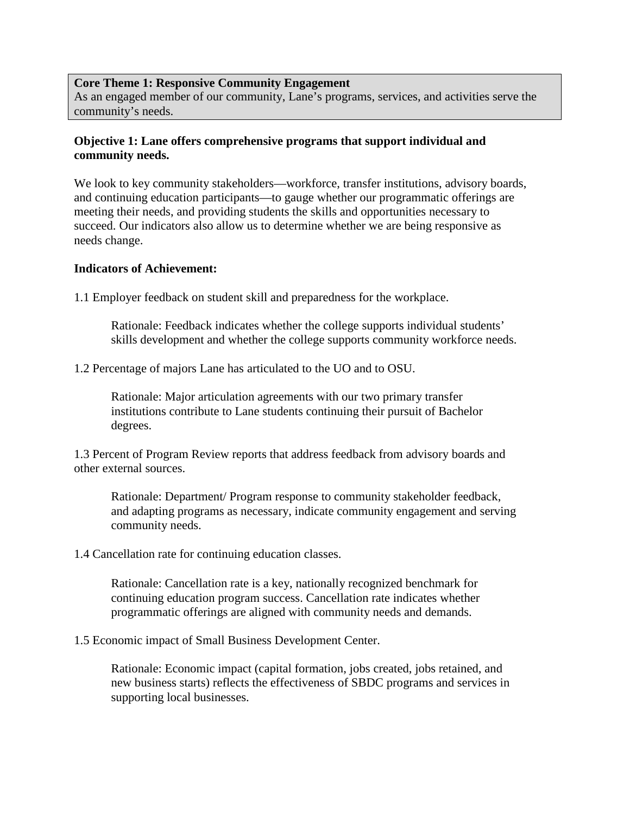#### **Core Theme 1: Responsive Community Engagement**

As an engaged member of our community, Lane's programs, services, and activities serve the community's needs.

## **Objective 1: Lane offers comprehensive programs that support individual and community needs.**

We look to key community stakeholders—workforce, transfer institutions, advisory boards, and continuing education participants—to gauge whether our programmatic offerings are meeting their needs, and providing students the skills and opportunities necessary to succeed. Our indicators also allow us to determine whether we are being responsive as needs change.

#### **Indicators of Achievement:**

1.1 Employer feedback on student skill and preparedness for the workplace.

Rationale: Feedback indicates whether the college supports individual students' skills development and whether the college supports community workforce needs.

1.2 Percentage of majors Lane has articulated to the UO and to OSU.

Rationale: Major articulation agreements with our two primary transfer institutions contribute to Lane students continuing their pursuit of Bachelor degrees.

1.3 Percent of Program Review reports that address feedback from advisory boards and other external sources.

Rationale: Department/ Program response to community stakeholder feedback, and adapting programs as necessary, indicate community engagement and serving community needs.

1.4 Cancellation rate for continuing education classes.

Rationale: Cancellation rate is a key, nationally recognized benchmark for continuing education program success. Cancellation rate indicates whether programmatic offerings are aligned with community needs and demands.

1.5 Economic impact of Small Business Development Center.

Rationale: Economic impact (capital formation, jobs created, jobs retained, and new business starts) reflects the effectiveness of SBDC programs and services in supporting local businesses.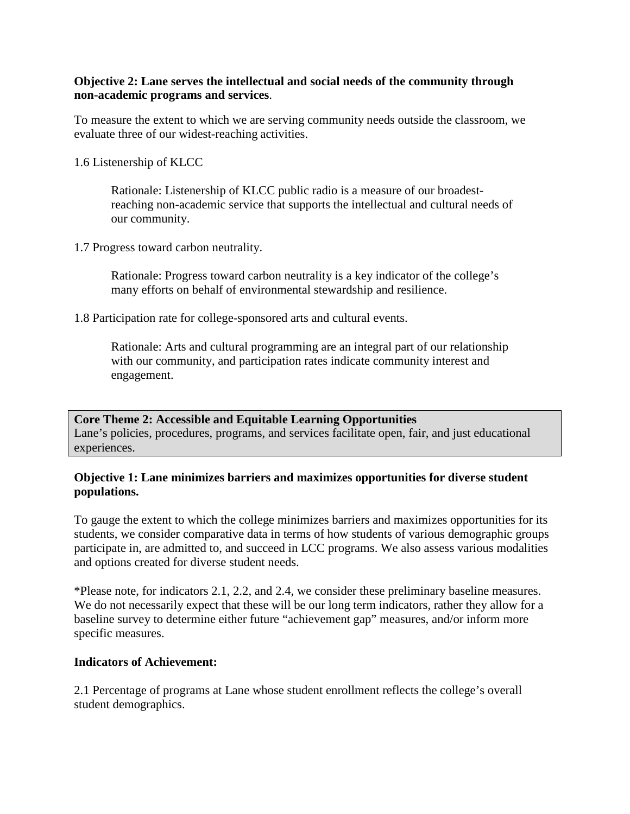## **Objective 2: Lane serves the intellectual and social needs of the community through non-academic programs and services**.

To measure the extent to which we are serving community needs outside the classroom, we evaluate three of our widest-reaching activities.

### 1.6 Listenership of KLCC

Rationale: Listenership of KLCC public radio is a measure of our broadestreaching non-academic service that supports the intellectual and cultural needs of our community.

1.7 Progress toward carbon neutrality.

Rationale: Progress toward carbon neutrality is a key indicator of the college's many efforts on behalf of environmental stewardship and resilience.

1.8 Participation rate for college-sponsored arts and cultural events.

Rationale: Arts and cultural programming are an integral part of our relationship with our community, and participation rates indicate community interest and engagement.

**Core Theme 2: Accessible and Equitable Learning Opportunities** Lane's policies, procedures, programs, and services facilitate open, fair, and just educational experiences.

# **Objective 1: Lane minimizes barriers and maximizes opportunities for diverse student populations.**

To gauge the extent to which the college minimizes barriers and maximizes opportunities for its students, we consider comparative data in terms of how students of various demographic groups participate in, are admitted to, and succeed in LCC programs. We also assess various modalities and options created for diverse student needs.

\*Please note, for indicators 2.1, 2.2, and 2.4, we consider these preliminary baseline measures. We do not necessarily expect that these will be our long term indicators, rather they allow for a baseline survey to determine either future "achievement gap" measures, and/or inform more specific measures.

# **Indicators of Achievement:**

2.1 Percentage of programs at Lane whose student enrollment reflects the college's overall student demographics.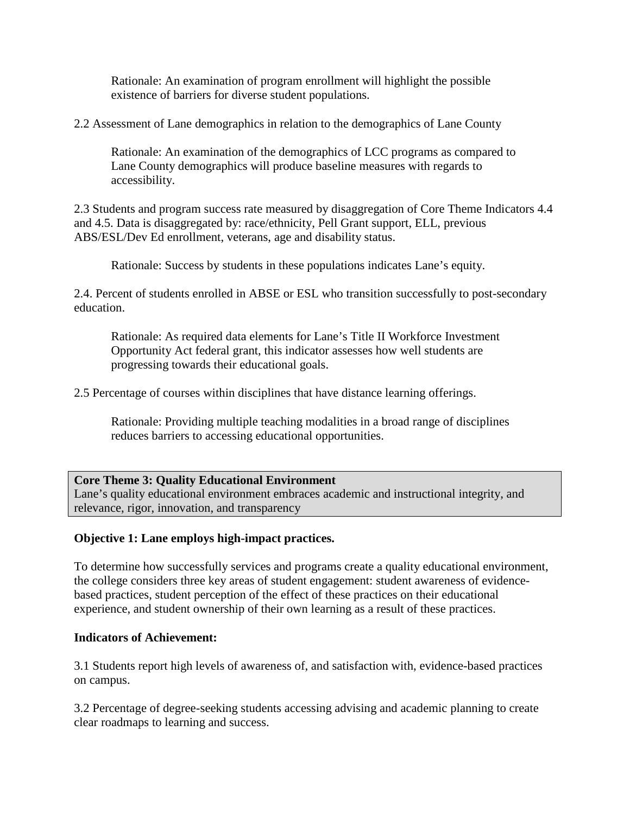Rationale: An examination of program enrollment will highlight the possible existence of barriers for diverse student populations.

2.2 Assessment of Lane demographics in relation to the demographics of Lane County

Rationale: An examination of the demographics of LCC programs as compared to Lane County demographics will produce baseline measures with regards to accessibility.

2.3 Students and program success rate measured by disaggregation of Core Theme Indicators 4.4 and 4.5. Data is disaggregated by: race/ethnicity, Pell Grant support, ELL, previous ABS/ESL/Dev Ed enrollment, veterans, age and disability status.

Rationale: Success by students in these populations indicates Lane's equity.

2.4. Percent of students enrolled in ABSE or ESL who transition successfully to post-secondary education.

Rationale: As required data elements for Lane's Title II Workforce Investment Opportunity Act federal grant, this indicator assesses how well students are progressing towards their educational goals.

2.5 Percentage of courses within disciplines that have distance learning offerings.

Rationale: Providing multiple teaching modalities in a broad range of disciplines reduces barriers to accessing educational opportunities.

### **Core Theme 3: Quality Educational Environment**

Lane's quality educational environment embraces academic and instructional integrity, and relevance, rigor, innovation, and transparency

### **Objective 1: Lane employs high-impact practices.**

To determine how successfully services and programs create a quality educational environment, the college considers three key areas of student engagement: student awareness of evidencebased practices, student perception of the effect of these practices on their educational experience, and student ownership of their own learning as a result of these practices.

### **Indicators of Achievement:**

3.1 Students report high levels of awareness of, and satisfaction with, evidence-based practices on campus.

3.2 Percentage of degree-seeking students accessing advising and academic planning to create clear roadmaps to learning and success.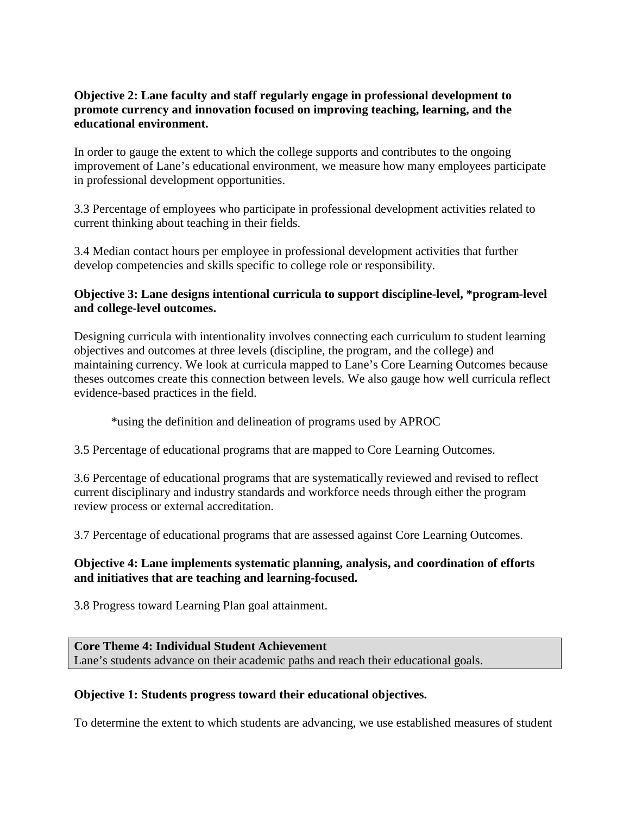## **Objective 2: Lane faculty and staff regularly engage in professional development to promote currency and innovation focused on improving teaching, learning, and the educational environment.**

In order to gauge the extent to which the college supports and contributes to the ongoing improvement of Lane's educational environment, we measure how many employees participate in professional development opportunities.

3.3 Percentage of employees who participate in professional development activities related to current thinking about teaching in their fields.

3.4 Median contact hours per employee in professional development activities that further develop competencies and skills specific to college role or responsibility.

## **Objective 3: Lane designs intentional curricula to support discipline-level, \*program-level and college-level outcomes.**

Designing curricula with intentionality involves connecting each curriculum to student learning objectives and outcomes at three levels (discipline, the program, and the college) and maintaining currency. We look at curricula mapped to Lane's Core Learning Outcomes because theses outcomes create this connection between levels. We also gauge how well curricula reflect evidence-based practices in the field.

\*using the definition and delineation of programs used by APROC

3.5 Percentage of educational programs that are mapped to Core Learning Outcomes.

3.6 Percentage of educational programs that are systematically reviewed and revised to reflect current disciplinary and industry standards and workforce needs through either the program review process or external accreditation.

3.7 Percentage of educational programs that are assessed against Core Learning Outcomes.

# **Objective 4: Lane implements systematic planning, analysis, and coordination of efforts and initiatives that are teaching and learning-focused.**

3.8 Progress toward Learning Plan goal attainment.

**Core Theme 4: Individual Student Achievement** Lane's students advance on their academic paths and reach their educational goals.

# **Objective 1: Students progress toward their educational objectives.**

To determine the extent to which students are advancing, we use established measures of student